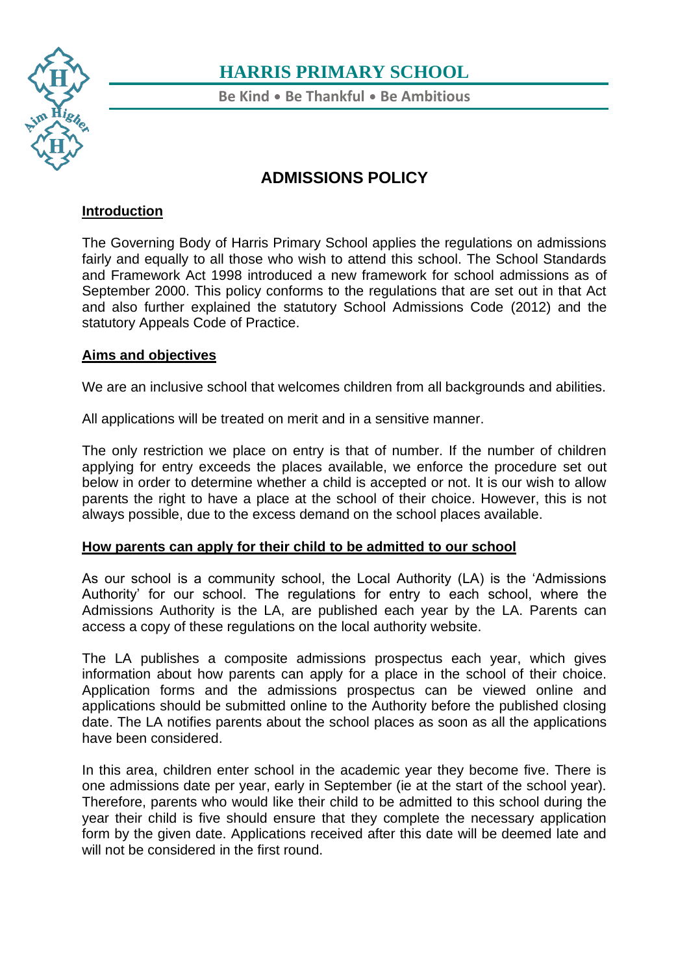

**Be Kind** • **Be Thankful** • **Be Ambitious**

## **ADMISSIONS POLICY**

### **Introduction**

The Governing Body of Harris Primary School applies the regulations on admissions fairly and equally to all those who wish to attend this school. The School Standards and Framework Act 1998 introduced a new framework for school admissions as of September 2000. This policy conforms to the regulations that are set out in that Act and also further explained the statutory School Admissions Code (2012) and the statutory Appeals Code of Practice.

### **Aims and objectives**

We are an inclusive school that welcomes children from all backgrounds and abilities.

All applications will be treated on merit and in a sensitive manner.

The only restriction we place on entry is that of number. If the number of children applying for entry exceeds the places available, we enforce the procedure set out below in order to determine whether a child is accepted or not. It is our wish to allow parents the right to have a place at the school of their choice. However, this is not always possible, due to the excess demand on the school places available.

### **How parents can apply for their child to be admitted to our school**

As our school is a community school, the Local Authority (LA) is the 'Admissions Authority' for our school. The regulations for entry to each school, where the Admissions Authority is the LA, are published each year by the LA. Parents can access a copy of these regulations on the local authority website.

The LA publishes a composite admissions prospectus each year, which gives information about how parents can apply for a place in the school of their choice. Application forms and the admissions prospectus can be viewed online and applications should be submitted online to the Authority before the published closing date. The LA notifies parents about the school places as soon as all the applications have been considered.

In this area, children enter school in the academic year they become five. There is one admissions date per year, early in September (ie at the start of the school year). Therefore, parents who would like their child to be admitted to this school during the year their child is five should ensure that they complete the necessary application form by the given date. Applications received after this date will be deemed late and will not be considered in the first round.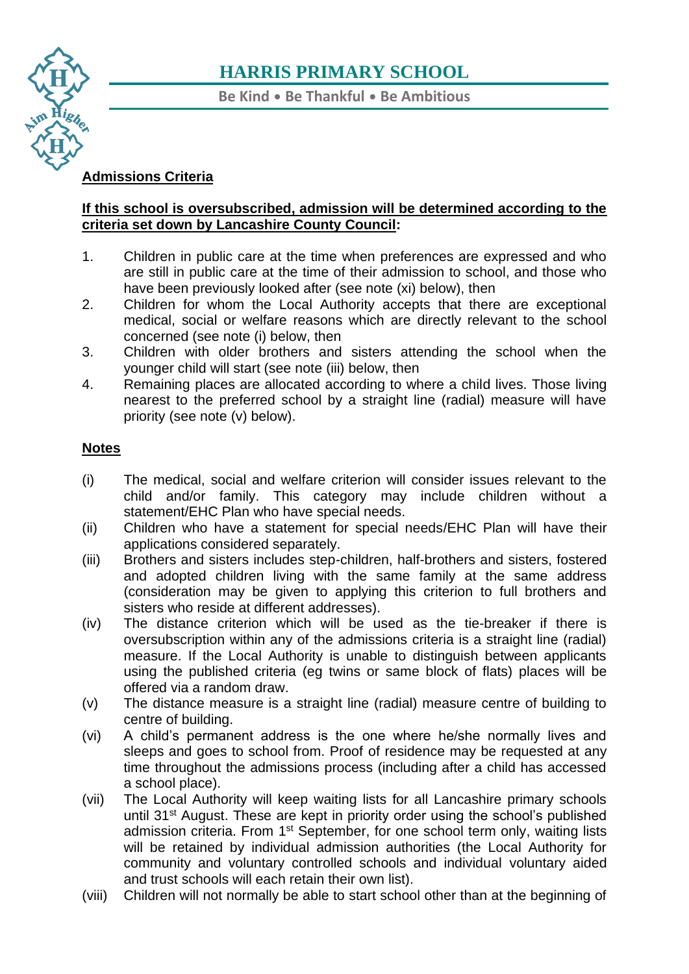

**Be Kind** • **Be Thankful** • **Be Ambitious**

### **[Adm](https://www.harris.lancs.sch.uk/)issions Criteria**

### **[If th](https://www.harris.lancs.sch.uk/contact-details/)is school is oversubscribed, admission will be determined according to the criteria set down by Lancashire County Council:**

- 1. Children in public care at the time when preferences are expressed and who are still in public care at the time of their admission to school, and those who have been previously looked after (see note (xi) below), then
- 2. Children for whom the Local Authority accepts that there are exceptional medical, social or welfare reasons which are directly relevant to the school concerned (see note (i) below, then
- 3. Children with older brothers and sisters attending the school when the younger child will start (see note (iii) below, then
- 4. Remaining places are allocated according to where a child lives. Those living nearest to the preferred school by a straight line (radial) measure will have priority (see note (v) below).

### **Notes**

- (i) The medical, social and welfare criterion will consider issues relevant to the child and/or family. This category may include children without a statement/EHC Plan who have special needs.
- (ii) Children who have a statement for special needs/EHC Plan will have their applications considered separately.
- (iii) Brothers and sisters includes step-children, half-brothers and sisters, fostered and adopted children living with the same family at the same address (consideration may be given to applying this criterion to full brothers and sisters who reside at different addresses).
- (iv) The distance criterion which will be used as the tie-breaker if there is oversubscription within any of the admissions criteria is a straight line (radial) measure. If the Local Authority is unable to distinguish between applicants using the published criteria (eg twins or same block of flats) places will be offered via a random draw.
- (v) The distance measure is a straight line (radial) measure centre of building to centre of building.
- (vi) A child's permanent address is the one where he/she normally lives and sleeps and goes to school from. Proof of residence may be requested at any time throughout the admissions process (including after a child has accessed a school place).
- (vii) The Local Authority will keep waiting lists for all Lancashire primary schools until 31<sup>st</sup> August. These are kept in priority order using the school's published admission criteria. From 1<sup>st</sup> September, for one school term only, waiting lists will be retained by individual admission authorities (the Local Authority for community and voluntary controlled schools and individual voluntary aided and trust schools will each retain their own list).
- (viii) Children will not normally be able to start school other than at the beginning of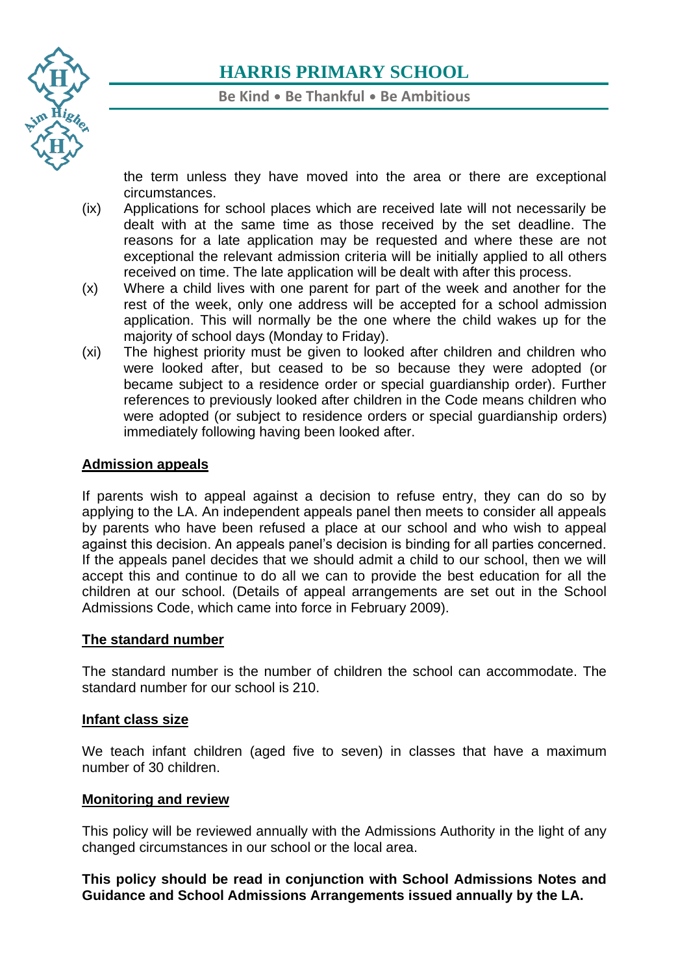

**Be Kind** • **Be Thankful** • **Be Ambitious**

the term unless they have moved into the area or there are exceptional circumstances.

- [\(ix\)](https://www.harris.lancs.sch.uk/contact-details/) Applications for school places which are received late will not necessarily be dealt with at the same time as those received by the set deadline. The reasons for a late application may be requested and where these are not exceptional the relevant admission criteria will be initially applied to all others received on time. The late application will be dealt with after this process.
- (x) Where a child lives with one parent for part of the week and another for the rest of the week, only one address will be accepted for a school admission application. This will normally be the one where the child wakes up for the majority of school days (Monday to Friday).
- (xi) The highest priority must be given to looked after children and children who were looked after, but ceased to be so because they were adopted (or became subject to a residence order or special guardianship order). Further references to previously looked after children in the Code means children who were adopted (or subject to residence orders or special guardianship orders) immediately following having been looked after.

### **Admission appeals**

If parents wish to appeal against a decision to refuse entry, they can do so by applying to the LA. An independent appeals panel then meets to consider all appeals by parents who have been refused a place at our school and who wish to appeal against this decision. An appeals panel's decision is binding for all parties concerned. If the appeals panel decides that we should admit a child to our school, then we will accept this and continue to do all we can to provide the best education for all the children at our school. (Details of appeal arrangements are set out in the School Admissions Code, which came into force in February 2009).

### **The standard number**

The standard number is the number of children the school can accommodate. The standard number for our school is 210.

#### **Infant class size**

We teach infant children (aged five to seven) in classes that have a maximum number of 30 children.

#### **Monitoring and review**

This policy will be reviewed annually with the Admissions Authority in the light of any changed circumstances in our school or the local area.

**This policy should be read in conjunction with School Admissions Notes and Guidance and School Admissions Arrangements issued annually by the LA.**